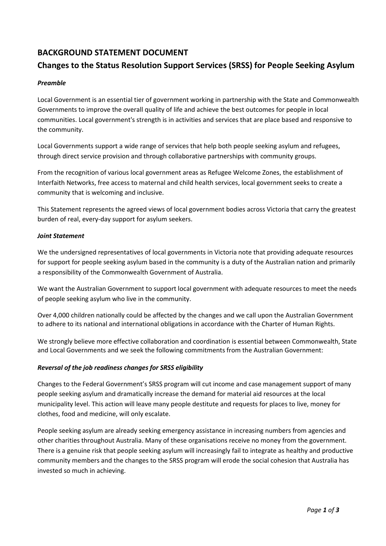## **BACKGROUND STATEMENT DOCUMENT**

# **Changes to the Status Resolution Support Services (SRSS) for People Seeking Asylum**

## *Preamble*

Local Government is an essential tier of government working in partnership with the State and Commonwealth Governments to improve the overall quality of life and achieve the best outcomes for people in local communities. Local government's strength is in activities and services that are place based and responsive to the community.

Local Governments support a wide range of services that help both people seeking asylum and refugees, through direct service provision and through collaborative partnerships with community groups.

From the recognition of various local government areas as Refugee Welcome Zones, the establishment of Interfaith Networks, free access to maternal and child health services, local government seeks to create a community that is welcoming and inclusive.

This Statement represents the agreed views of local government bodies across Victoria that carry the greatest burden of real, every-day support for asylum seekers.

#### *Joint Statement*

We the undersigned representatives of local governments in Victoria note that providing adequate resources for support for people seeking asylum based in the community is a duty of the Australian nation and primarily a responsibility of the Commonwealth Government of Australia.

We want the Australian Government to support local government with adequate resources to meet the needs of people seeking asylum who live in the community.

Over 4,000 children nationally could be affected by the changes and we call upon the Australian Government to adhere to its national and international obligations in accordance with the Charter of Human Rights.

We strongly believe more effective collaboration and coordination is essential between Commonwealth, State and Local Governments and we seek the following commitments from the Australian Government:

## *Reversal of the job readiness changes for SRSS eligibility*

Changes to the Federal Government's SRSS program will cut income and case management support of many people seeking asylum and dramatically increase the demand for material aid resources at the local municipality level. This action will leave many people destitute and requests for places to live, money for clothes, food and medicine, will only escalate.

People seeking asylum are already seeking emergency assistance in increasing numbers from agencies and other charities throughout Australia. Many of these organisations receive no money from the government. There is a genuine risk that people seeking asylum will increasingly fail to integrate as healthy and productive community members and the changes to the SRSS program will erode the social cohesion that Australia has invested so much in achieving.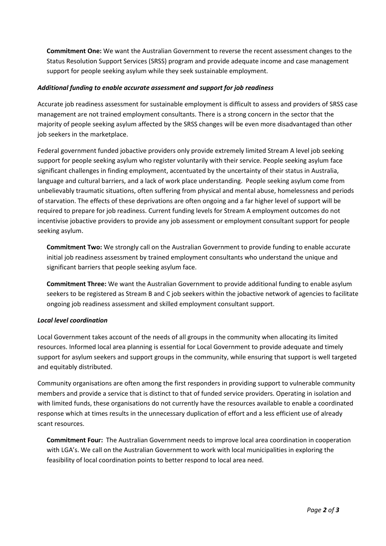**Commitment One:** We want the Australian Government to reverse the recent assessment changes to the Status Resolution Support Services (SRSS) program and provide adequate income and case management support for people seeking asylum while they seek sustainable employment.

## *Additional funding to enable accurate assessment and support for job readiness*

Accurate job readiness assessment for sustainable employment is difficult to assess and providers of SRSS case management are not trained employment consultants. There is a strong concern in the sector that the majority of people seeking asylum affected by the SRSS changes will be even more disadvantaged than other job seekers in the marketplace.

Federal government funded jobactive providers only provide extremely limited Stream A level job seeking support for people seeking asylum who register voluntarily with their service. People seeking asylum face significant challenges in finding employment, accentuated by the uncertainty of their status in Australia, language and cultural barriers, and a lack of work place understanding. People seeking asylum come from unbelievably traumatic situations, often suffering from physical and mental abuse, homelessness and periods of starvation. The effects of these deprivations are often ongoing and a far higher level of support will be required to prepare for job readiness. Current funding levels for Stream A employment outcomes do not incentivise jobactive providers to provide any job assessment or employment consultant support for people seeking asylum.

**Commitment Two:** We strongly call on the Australian Government to provide funding to enable accurate initial job readiness assessment by trained employment consultants who understand the unique and significant barriers that people seeking asylum face.

**Commitment Three:** We want the Australian Government to provide additional funding to enable asylum seekers to be registered as Stream B and C job seekers within the jobactive network of agencies to facilitate ongoing job readiness assessment and skilled employment consultant support.

#### *Local level coordination*

Local Government takes account of the needs of all groups in the community when allocating its limited resources. Informed local area planning is essential for Local Government to provide adequate and timely support for asylum seekers and support groups in the community, while ensuring that support is well targeted and equitably distributed.

Community organisations are often among the first responders in providing support to vulnerable community members and provide a service that is distinct to that of funded service providers. Operating in isolation and with limited funds, these organisations do not currently have the resources available to enable a coordinated response which at times results in the unnecessary duplication of effort and a less efficient use of already scant resources.

**Commitment Four:** The Australian Government needs to improve local area coordination in cooperation with LGA's. We call on the Australian Government to work with local municipalities in exploring the feasibility of local coordination points to better respond to local area need.